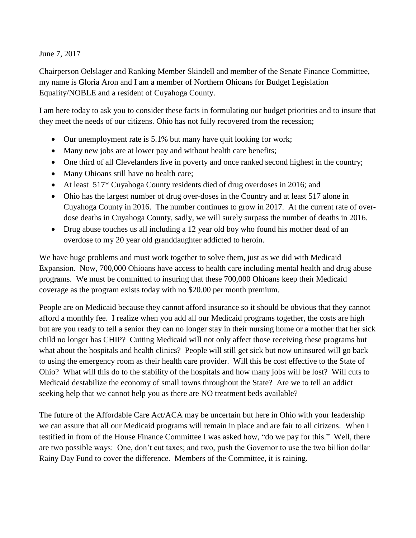June 7, 2017

Chairperson Oelslager and Ranking Member Skindell and member of the Senate Finance Committee, my name is Gloria Aron and I am a member of Northern Ohioans for Budget Legislation Equality/NOBLE and a resident of Cuyahoga County.

I am here today to ask you to consider these facts in formulating our budget priorities and to insure that they meet the needs of our citizens. Ohio has not fully recovered from the recession;

- Our unemployment rate is 5.1% but many have quit looking for work;
- Many new jobs are at lower pay and without health care benefits;
- One third of all Clevelanders live in poverty and once ranked second highest in the country;
- Many Ohioans still have no health care;
- At least 517\* Cuyahoga County residents died of drug overdoses in 2016; and
- Ohio has the largest number of drug over-doses in the Country and at least 517 alone in Cuyahoga County in 2016. The number continues to grow in 2017. At the current rate of overdose deaths in Cuyahoga County, sadly, we will surely surpass the number of deaths in 2016.
- Drug abuse touches us all including a 12 year old boy who found his mother dead of an overdose to my 20 year old granddaughter addicted to heroin.

We have huge problems and must work together to solve them, just as we did with Medicaid Expansion. Now, 700,000 Ohioans have access to health care including mental health and drug abuse programs. We must be committed to insuring that these 700,000 Ohioans keep their Medicaid coverage as the program exists today with no \$20.00 per month premium.

People are on Medicaid because they cannot afford insurance so it should be obvious that they cannot afford a monthly fee. I realize when you add all our Medicaid programs together, the costs are high but are you ready to tell a senior they can no longer stay in their nursing home or a mother that her sick child no longer has CHIP? Cutting Medicaid will not only affect those receiving these programs but what about the hospitals and health clinics? People will still get sick but now uninsured will go back to using the emergency room as their health care provider. Will this be cost effective to the State of Ohio? What will this do to the stability of the hospitals and how many jobs will be lost? Will cuts to Medicaid destabilize the economy of small towns throughout the State? Are we to tell an addict seeking help that we cannot help you as there are NO treatment beds available?

The future of the Affordable Care Act/ACA may be uncertain but here in Ohio with your leadership we can assure that all our Medicaid programs will remain in place and are fair to all citizens. When I testified in from of the House Finance Committee I was asked how, "do we pay for this." Well, there are two possible ways: One, don't cut taxes; and two, push the Governor to use the two billion dollar Rainy Day Fund to cover the difference. Members of the Committee, it is raining.